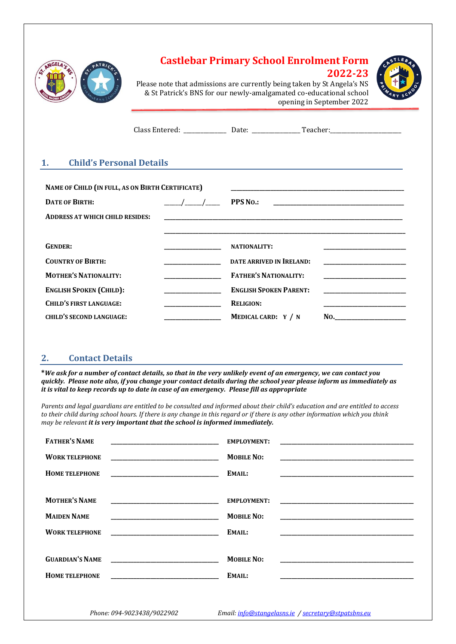| NGELA.                | TRICA<br>φA         |
|-----------------------|---------------------|
|                       |                     |
| <b>OIL MADMH AING</b> | CRUSTEBAR<br>SALLEB |

# **Castlebar Primary School Enrolment Form**



**2022-23**

Please note that admissions are currently being taken by St Angela's NS & St Patrick's BNS for our newly-amalgamated co-educational school opening in September 2022

| _______________ | . .                   |  |
|-----------------|-----------------------|--|
| _ _ _ _         | _____________________ |  |
|                 |                       |  |

#### **1. Child's Personal Details**

| NAME OF CHILD (IN FULL, AS ON BIRTH CERTIFICATE) |  |                                 |     |
|--------------------------------------------------|--|---------------------------------|-----|
| <b>DATE OF BIRTH:</b>                            |  | <b>PPS No.:</b>                 |     |
| <b>ADDRESS AT WHICH CHILD RESIDES:</b>           |  |                                 |     |
|                                                  |  |                                 |     |
| <b>GENDER:</b>                                   |  | <b>NATIONALITY:</b>             |     |
| <b>COUNTRY OF BIRTH:</b>                         |  | <b>DATE ARRIVED IN IRELAND:</b> |     |
| <b>MOTHER'S NATIONALITY:</b>                     |  | <b>FATHER'S NATIONALITY:</b>    |     |
| <b>ENGLISH SPOKEN (CHILD):</b>                   |  | <b>ENGLISH SPOKEN PARENT:</b>   |     |
| <b>CHILD'S FIRST LANGUAGE:</b>                   |  | <b>RELIGION:</b>                |     |
| <b>CHILD'S SECOND LANGUAGE:</b>                  |  | MEDICAL CARD: Y / N             | No. |

#### **2. Contact Details**

**\****We ask for a number of contact details, so that in the very unlikely event of an emergency, we can contact you quickly. Please note also, if you change your contact details during the school year please inform us immediately as it is vital to keep records up to date in case of an emergency. Please fill as appropriate*

*Parents and legal guardians are entitled to be consulted and informed about their child's education and are entitled to access to their child during school hours. If there is any change in this regard or if there is any other information which you think may be relevant it is very important that the school is informed immediately.*

| <b>FATHER'S NAME</b>   |                                                                   | <b>EMPLOYMENT:</b> |                                                                                                                       |
|------------------------|-------------------------------------------------------------------|--------------------|-----------------------------------------------------------------------------------------------------------------------|
| <b>WORK TELEPHONE</b>  |                                                                   | <b>MOBILE NO:</b>  |                                                                                                                       |
| <b>HOME TELEPHONE</b>  |                                                                   | EMAIL:             |                                                                                                                       |
|                        |                                                                   |                    |                                                                                                                       |
| <b>MOTHER'S NAME</b>   | <u> 1989 - Johann John Stone, mars eta biztanleria (h. 1982).</u> | <b>EMPLOYMENT:</b> |                                                                                                                       |
| <b>MAIDEN NAME</b>     |                                                                   | <b>MOBILE NO:</b>  |                                                                                                                       |
| <b>WORK TELEPHONE</b>  |                                                                   | EMAIL:             |                                                                                                                       |
|                        |                                                                   |                    |                                                                                                                       |
| <b>GUARDIAN'S NAME</b> |                                                                   | <b>MOBILE NO:</b>  | <u> 1980 - Johann Stein, mars et al. 1980 - Ann an Dùbhlachd ann an Dùbhlachd ann an Dùbhlachd ann an Dùbhlachd a</u> |
| <b>HOME TELEPHONE</b>  |                                                                   | EMAIL:             |                                                                                                                       |
|                        |                                                                   |                    |                                                                                                                       |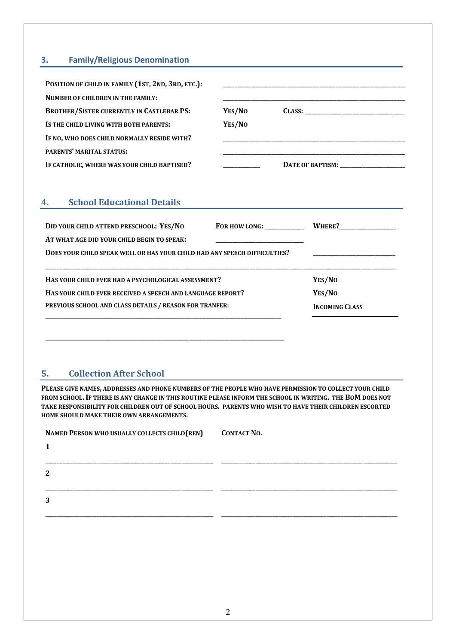## **3. Family/Religious Denomination**

| POSITION OF CHILD IN FAMILY (1ST, 2ND, 3RD, ETC.): |        |                  |
|----------------------------------------------------|--------|------------------|
| <b>NUMBER OF CHILDREN IN THE FAMILY:</b>           |        |                  |
| <b>BROTHER/SISTER CURRENTLY IN CASTLEBAR PS:</b>   | YES/NO | CLASS:           |
| IS THE CHILD LIVING WITH BOTH PARENTS:             | YES/NO |                  |
| IF NO, WHO DOES CHILD NORMALLY RESIDE WITH?        |        |                  |
| <b>PARENTS' MARITAL STATUS:</b>                    |        |                  |
| IF CATHOLIC, WHERE WAS YOUR CHILD BAPTISED?        |        | DATE OF BAPTISM: |

# **4. School Educational Details**

| DID YOUR CHILD ATTEND PRESCHOOL: YES/NO                                   | FOR HOW LONG: WHERE? |                       |
|---------------------------------------------------------------------------|----------------------|-----------------------|
| AT WHAT AGE DID YOUR CHILD BEGIN TO SPEAK:                                |                      |                       |
| DOES YOUR CHILD SPEAK WELL OR HAS YOUR CHILD HAD ANY SPEECH DIFFICULTIES? |                      |                       |
|                                                                           |                      |                       |
| HAS YOUR CHILD EVER HAD A PSYCHOLOGICAL ASSESSMENT?                       |                      | YES/NO                |
| HAS YOUR CHILD EVER RECEIVED A SPEECH AND LANGUAGE REPORT?                |                      | YES/NO                |
| PREVIOUS SCHOOL AND CLASS DETAILS / REASON FOR TRANFER:                   |                      | <b>INCOMING CLASS</b> |
|                                                                           |                      |                       |

### **5. Collection After School**

**PLEASE GIVE NAMES, ADDRESSES AND PHONE NUMBERS OF THE PEOPLE WHO HAVE PERMISSION TO COLLECT YOUR CHILD FROM SCHOOL. IF THERE IS ANY CHANGE IN THIS ROUTINE PLEASE INFORM THE SCHOOL IN WRITING. THE BOM DOES NOT TAKE RESPONSIBILITY FOR CHILDREN OUT OF SCHOOL HOURS. PARENTS WHO WISH TO HAVE THEIR CHILDREN ESCORTED HOME SHOULD MAKE THEIR OWN ARRANGEMENTS.**

**\_\_\_\_\_\_\_\_\_\_\_\_\_\_\_\_\_\_\_\_\_\_\_\_\_\_\_\_\_\_\_\_\_\_\_\_\_\_\_\_\_\_\_\_\_\_\_\_\_\_\_\_\_\_\_\_\_\_\_\_\_\_\_\_\_\_\_\_\_\_\_\_\_\_\_\_\_\_\_\_\_\_\_\_\_\_\_\_\_\_\_\_\_\_\_\_\_\_\_\_\_\_\_\_\_**

| NAMED PERSON WHO USUALLY COLLECTS CHILD (REN) | <b>CONTACT NO.</b> |
|-----------------------------------------------|--------------------|
|                                               |                    |
|                                               |                    |
| ּ                                             |                    |
|                                               |                    |
| 3                                             |                    |

**\_\_\_\_\_\_\_\_\_\_\_\_\_\_\_\_\_\_\_\_\_\_\_\_\_\_\_\_\_\_\_\_\_\_\_\_\_\_\_\_\_\_\_\_\_\_\_\_\_\_\_\_\_\_\_\_\_\_\_ \_\_\_\_\_\_\_\_\_\_\_\_\_\_\_\_\_\_\_\_\_\_\_\_\_\_\_\_\_\_\_\_\_\_\_\_\_\_\_\_\_\_\_\_\_\_\_\_\_\_\_\_\_\_\_\_\_\_\_\_\_\_**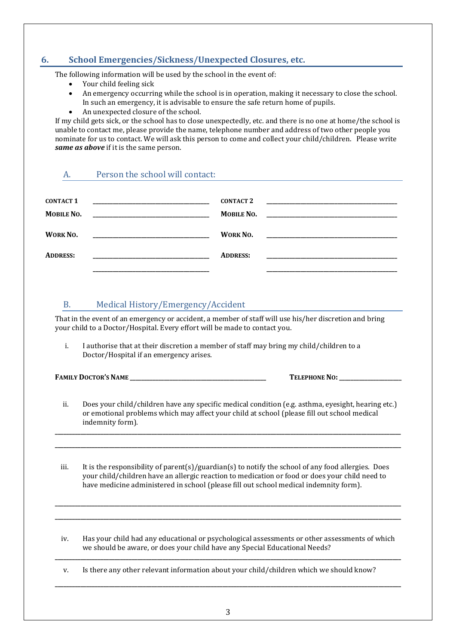### **6. School Emergencies/Sickness/Unexpected Closures, etc.**

The following information will be used by the school in the event of:

- Your child feeling sick
- An emergency occurring while the school is in operation, making it necessary to close the school. In such an emergency, it is advisable to ensure the safe return home of pupils.
- An unexpected closure of the school.

If my child gets sick, or the school has to close unexpectedly, etc. and there is no one at home/the school is unable to contact me, please provide the name, telephone number and address of two other people you nominate for us to contact. We will ask this person to come and collect your child/children. Please write *same as above* if it is the same person.

| A.                             | Person the school will contact:                                                                                                                                                      |                                       |  |
|--------------------------------|--------------------------------------------------------------------------------------------------------------------------------------------------------------------------------------|---------------------------------------|--|
| <b>CONTACT 1</b><br>MOBILE NO. | <u> 1980 - Johann John Stone, mars eta biztanleria (</u>                                                                                                                             | <b>CONTACT 2</b><br><b>MOBILE NO.</b> |  |
| WORK NO.                       |                                                                                                                                                                                      | <b>WORK NO.</b>                       |  |
| <b>ADDRESS:</b>                | <u> 1980 - Johann Barn, margaret eta biztanleria (</u>                                                                                                                               | <b>ADDRESS:</b>                       |  |
|                                |                                                                                                                                                                                      |                                       |  |
| В.                             | Medical History/Emergency/Accident                                                                                                                                                   |                                       |  |
|                                | That in the event of an emergency or accident, a member of staff will use his/her discretion and bring<br>your child to a Doctor/Hospital. Every effort will be made to contact you. |                                       |  |
| i.                             | I authorise that at their discretion a member of staff may bring my child/children to a                                                                                              |                                       |  |

Doctor/Hospital if an emergency arises.

**FAMILY DOCTOR'S NAME \_\_\_\_\_\_\_\_\_\_\_\_\_\_\_\_\_\_\_\_\_\_\_\_\_\_\_\_\_\_\_\_\_\_\_\_\_\_\_\_\_\_\_\_\_\_\_\_ TELEPHONE NO:\_\_\_\_\_\_\_\_\_\_\_\_\_\_\_\_\_\_\_\_\_\_**

ii. Does your child/children have any specific medical condition (e.g. asthma, eyesight, hearing etc.) or emotional problems which may affect your child at school (please fill out school medical indemnity form).

**\_\_\_\_\_\_\_\_\_\_\_\_\_\_\_\_\_\_\_\_\_\_\_\_\_\_\_\_\_\_\_\_\_\_\_\_\_\_\_\_\_\_\_\_\_\_\_\_\_\_\_\_\_\_\_\_\_\_\_\_\_\_\_\_\_\_\_\_\_\_\_\_\_\_\_\_\_\_\_\_\_\_\_\_\_\_\_\_\_\_\_\_\_\_\_\_\_\_\_\_\_\_\_\_\_\_\_\_\_\_\_\_\_\_\_\_\_\_\_\_\_\_ \_\_\_\_\_\_\_\_\_\_\_\_\_\_\_\_\_\_\_\_\_\_\_\_\_\_\_\_\_\_\_\_\_\_\_\_\_\_\_\_\_\_\_\_\_\_\_\_\_\_\_\_\_\_\_\_\_\_\_\_\_\_\_\_\_\_\_\_\_\_\_\_\_\_\_\_\_\_\_\_\_\_\_\_\_\_\_\_\_\_\_\_\_\_\_\_\_\_\_\_\_\_\_\_\_\_\_\_\_\_\_\_\_\_\_\_\_\_\_\_\_\_**

iii. It is the responsibility of parent(s)/guardian(s) to notify the school of any food allergies. Does your child/children have an allergic reaction to medication or food or does your child need to have medicine administered in school (please fill out school medical indemnity form).

**\_\_\_\_\_\_\_\_\_\_\_\_\_\_\_\_\_\_\_\_\_\_\_\_\_\_\_\_\_\_\_\_\_\_\_\_\_\_\_\_\_\_\_\_\_\_\_\_\_\_\_\_\_\_\_\_\_\_\_\_\_\_\_\_\_\_\_\_\_\_\_\_\_\_\_\_\_\_\_\_\_\_\_\_\_\_\_\_\_\_\_\_\_\_\_\_\_\_\_\_\_\_\_\_\_\_\_\_\_\_\_\_\_\_\_\_\_\_\_\_\_\_ \_\_\_\_\_\_\_\_\_\_\_\_\_\_\_\_\_\_\_\_\_\_\_\_\_\_\_\_\_\_\_\_\_\_\_\_\_\_\_\_\_\_\_\_\_\_\_\_\_\_\_\_\_\_\_\_\_\_\_\_\_\_\_\_\_\_\_\_\_\_\_\_\_\_\_\_\_\_\_\_\_\_\_\_\_\_\_\_\_\_\_\_\_\_\_\_\_\_\_\_\_\_\_\_\_\_\_\_\_\_\_\_\_\_\_\_\_\_\_\_\_\_**

iv. Has your child had any educational or psychological assessments or other assessments of which we should be aware, or does your child have any Special Educational Needs? **\_\_\_\_\_\_\_\_\_\_\_\_\_\_\_\_\_\_\_\_\_\_\_\_\_\_\_\_\_\_\_\_\_\_\_\_\_\_\_\_\_\_\_\_\_\_\_\_\_\_\_\_\_\_\_\_\_\_\_\_\_\_\_\_\_\_\_\_\_\_\_\_\_\_\_\_\_\_\_\_\_\_\_\_\_\_\_\_\_\_\_\_\_\_\_\_\_\_\_\_\_\_\_\_\_\_\_\_\_\_\_\_\_\_\_\_\_\_\_\_\_\_**

v. Is there any other relevant information about your child/children which we should know?

**\_\_\_\_\_\_\_\_\_\_\_\_\_\_\_\_\_\_\_\_\_\_\_\_\_\_\_\_\_\_\_\_\_\_\_\_\_\_\_\_\_\_\_\_\_\_\_\_\_\_\_\_\_\_\_\_\_\_\_\_\_\_\_\_\_\_\_\_\_\_\_\_\_\_\_\_\_\_\_\_\_\_\_\_\_\_\_\_\_\_\_\_\_\_\_\_\_\_\_\_\_\_\_\_\_\_\_\_\_\_\_\_\_\_\_\_\_\_\_\_\_\_**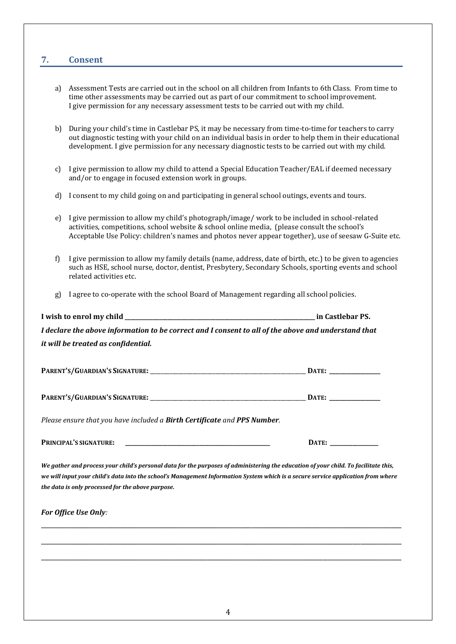#### **7. Consent**

- a) Assessment Tests are carried out in the school on all children from Infants to 6th Class. From time to time other assessments may be carried out as part of our commitment to school improvement. I give permission for any necessary assessment tests to be carried out with my child.
- b) During your child's time in Castlebar PS, it may be necessary from time-to-time for teachers to carry out diagnostic testing with your child on an individual basis in order to help them in their educational development. I give permission for any necessary diagnostic tests to be carried out with my child.
- c) I give permission to allow my child to attend a Special Education Teacher/EAL if deemed necessary and/or to engage in focused extension work in groups.
- d) I consent to my child going on and participating in general school outings, events and tours.
- e) I give permission to allow my child's photograph/image/ work to be included in school-related activities, competitions, school website & school online media, (please consult the school's Acceptable Use Policy: children's names and photos never appear together), use of seesaw G-Suite etc.
- f) I give permission to allow my family details (name, address, date of birth, etc.) to be given to agencies such as HSE, school nurse, doctor, dentist, Presbytery, Secondary Schools, sporting events and school related activities etc.
- g) I agree to co-operate with the school Board of Management regarding all school policies.

| I wish to enrol mv child                                                                            | in Castlebar PS. |
|-----------------------------------------------------------------------------------------------------|------------------|
| I declare the above information to be correct and I consent to all of the above and understand that |                  |
| it will be treated as confidential.                                                                 |                  |

| <b>PARENT'S/GUARDIAN'S SIGNATURE:</b> |  | <b><i>A POST</i></b> |
|---------------------------------------|--|----------------------|
|---------------------------------------|--|----------------------|

| <b>PARENT'S/GUARDIAN'S SIGNATURE:</b> |  |
|---------------------------------------|--|
|---------------------------------------|--|

*Please ensure that you have included a Birth Certificate and PPS Number.*

**PRINCIPAL'S SIGNATURE: \_\_\_\_\_\_\_\_\_\_\_\_\_\_\_\_\_\_\_\_\_\_\_\_\_\_\_\_\_\_\_\_\_\_\_\_\_\_\_\_\_\_\_\_\_\_\_\_\_\_\_ DATE: \_\_\_\_\_\_\_\_\_\_\_\_\_\_\_\_\_**

*We gather and process your child's personal data for the purposes of administering the education of your child. To facilitate this, we will input your child's data into the school's Management Information System which is a secure service application from where the data is only processed for the above purpose.*

**\_\_\_\_\_\_\_\_\_\_\_\_\_\_\_\_\_\_\_\_\_\_\_\_\_\_\_\_\_\_\_\_\_\_\_\_\_\_\_\_\_\_\_\_\_\_\_\_\_\_\_\_\_\_\_\_\_\_\_\_\_\_\_\_\_\_\_\_\_\_\_\_\_\_\_\_\_\_\_\_\_\_\_\_\_\_\_\_\_\_\_\_\_\_\_\_\_\_\_\_\_\_\_\_\_\_\_\_\_\_\_\_\_\_\_\_\_\_\_\_\_\_\_\_\_\_\_\_\_\_\_\_\_\_\_\_\_\_\_\_\_**

**\_\_\_\_\_\_\_\_\_\_\_\_\_\_\_\_\_\_\_\_\_\_\_\_\_\_\_\_\_\_\_\_\_\_\_\_\_\_\_\_\_\_\_\_\_\_\_\_\_\_\_\_\_\_\_\_\_\_\_\_\_\_\_\_\_\_\_\_\_\_\_\_\_\_\_\_\_\_\_\_\_\_\_\_\_\_\_\_\_\_\_\_\_\_\_\_\_\_\_\_\_\_\_\_\_\_\_\_\_\_\_\_\_\_\_\_\_\_\_\_\_\_\_\_\_\_\_\_\_\_\_\_\_\_\_\_\_\_\_\_\_**

**\_\_\_\_\_\_\_\_\_\_\_\_\_\_\_\_\_\_\_\_\_\_\_\_\_\_\_\_\_\_\_\_\_\_\_\_\_\_\_\_\_\_\_\_\_\_\_\_\_\_\_\_\_\_\_\_\_\_\_\_\_\_\_\_\_\_\_\_\_\_\_\_\_\_\_\_\_\_\_\_\_\_\_\_\_\_\_\_\_\_\_\_\_\_\_\_\_\_\_\_\_\_\_\_\_\_\_\_\_\_\_\_\_\_\_\_\_\_\_\_\_\_\_\_\_\_\_\_\_\_\_\_\_\_\_\_\_\_\_\_\_**

| <b>For Office Use Only:</b> |  |  |
|-----------------------------|--|--|
|-----------------------------|--|--|